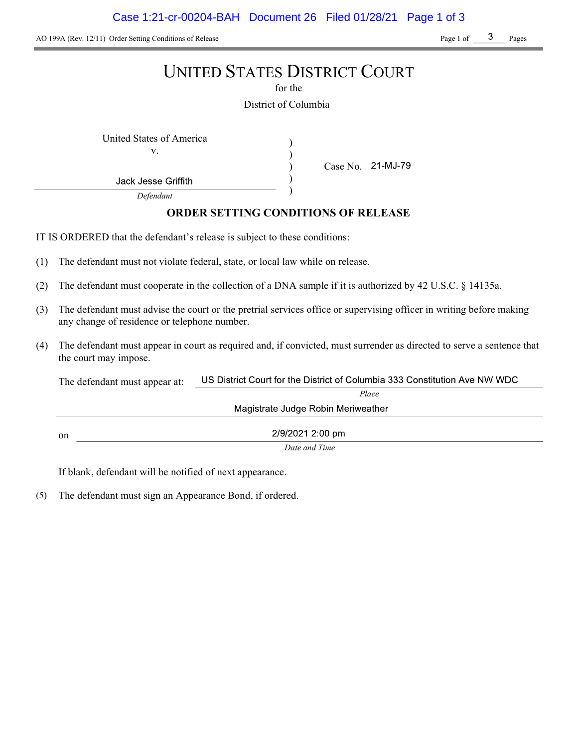AO 199A (Rev. 12/11) Order Setting Conditions of Release Page 1 of Page 1 of Pages

# UNITED STATES DISTRICT COURT

for the

District of Columbia

) ) ) )

Case No. 21-MJ-79

United States of America (1992)

v.

Jack Jesse Griffith

Defendant

# ORDER SETTING CONDITIONS OF RELEASE

IT IS ORDERED that the defendant's release is subject to these conditions:

- (1) The defendant must not violate federal, state, or local law while on release.
- (2) The defendant must cooperate in the collection of a DNA sample if it is authorized by 42 U.S.C. § 14135a.
- (3) The defendant must advise the court or the pretrial services office or supervising officer in writing before making any change of residence or telephone number.
- (4) The defendant must appear in court as required and, if convicted, must surrender as directed to serve a sentence that the court may impose.

US District Court for the District of Columbia 333 Constitution Ave NW WDC The defendant must appear at: Place Magistrate Judge Robin Meriweather 2/9/2021 2:00 pm on Date and Time

If blank, defendant will be notified of next appearance.

(5) The defendant must sign an Appearance Bond, if ordered.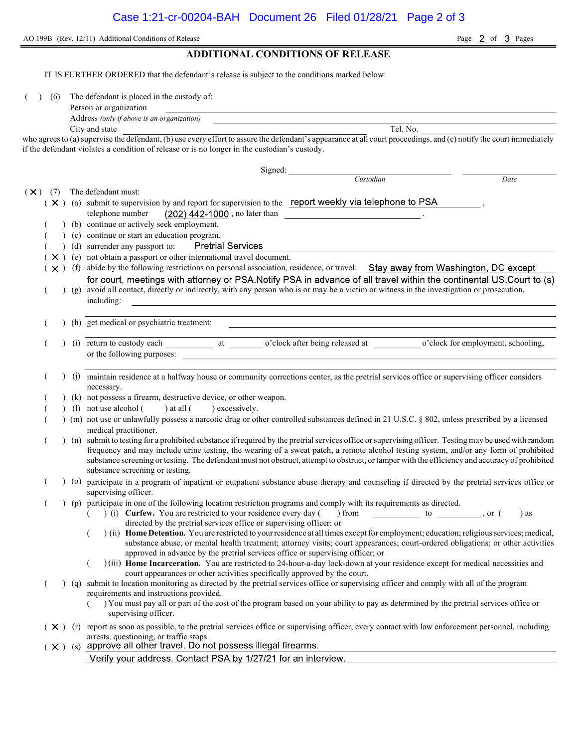Page  $\overline{2}$  of  $\overline{3}$  Pages

# ADDITIONAL CONDITIONS OF RELEASE

IT IS FURTHER ORDERED that the defendant's release is subject to the conditions marked below:

( ) (6) The defendant is placed in the custody of:

| Person or organization |  |
|------------------------|--|
|                        |  |

| Address (only if above is an organization) |          |
|--------------------------------------------|----------|
| City and state                             | Tel. No. |

who agrees to (a) supervise the defendant, (b) use every effort to assure the defendant's appearance at all court proceedings, and (c) notify the court immediately if the defendant violates a condition of release or is no longer in the custodian's custody.

|     |     |  | Signed:                                                                                                                                                                                                                                                                                                                                                                                                                                                                              |
|-----|-----|--|--------------------------------------------------------------------------------------------------------------------------------------------------------------------------------------------------------------------------------------------------------------------------------------------------------------------------------------------------------------------------------------------------------------------------------------------------------------------------------------|
|     |     |  | Custodian<br>Date                                                                                                                                                                                                                                                                                                                                                                                                                                                                    |
| (X) | (7) |  | The defendant must:                                                                                                                                                                                                                                                                                                                                                                                                                                                                  |
|     |     |  | X ) (a) submit to supervision by and report for supervision to the report weekly via telephone to PSA                                                                                                                                                                                                                                                                                                                                                                                |
|     |     |  | $(202)$ 442-1000, no later than<br>telephone number                                                                                                                                                                                                                                                                                                                                                                                                                                  |
|     |     |  | (b) continue or actively seek employment.                                                                                                                                                                                                                                                                                                                                                                                                                                            |
|     |     |  | (c) continue or start an education program.                                                                                                                                                                                                                                                                                                                                                                                                                                          |
|     |     |  | <b>Pretrial Services</b><br>(d) surrender any passport to:                                                                                                                                                                                                                                                                                                                                                                                                                           |
|     |     |  | × ) (e) not obtain a passport or other international travel document.                                                                                                                                                                                                                                                                                                                                                                                                                |
|     |     |  | x ) (f) abide by the following restrictions on personal association, residence, or travel: Stay away from Washington, DC except                                                                                                                                                                                                                                                                                                                                                      |
|     |     |  | for court, meetings with attorney or PSA.Notify PSA in advance of all travel within the continental US.Court to (s)                                                                                                                                                                                                                                                                                                                                                                  |
|     |     |  | (g) avoid all contact, directly or indirectly, with any person who is or may be a victim or witness in the investigation or prosecution,<br>including:                                                                                                                                                                                                                                                                                                                               |
|     |     |  | (h) get medical or psychiatric treatment:                                                                                                                                                                                                                                                                                                                                                                                                                                            |
|     |     |  |                                                                                                                                                                                                                                                                                                                                                                                                                                                                                      |
|     |     |  |                                                                                                                                                                                                                                                                                                                                                                                                                                                                                      |
|     |     |  | (j) maintain residence at a halfway house or community corrections center, as the pretrial services office or supervising officer considers<br>necessary.                                                                                                                                                                                                                                                                                                                            |
|     |     |  | ) (k) not possess a firearm, destructive device, or other weapon.                                                                                                                                                                                                                                                                                                                                                                                                                    |
|     |     |  | (1) not use alcohol (<br>$)$ at all $($<br>excessively.                                                                                                                                                                                                                                                                                                                                                                                                                              |
|     |     |  | (m) not use or unlawfully possess a narcotic drug or other controlled substances defined in 21 U.S.C. § 802, unless prescribed by a licensed<br>medical practitioner.                                                                                                                                                                                                                                                                                                                |
|     |     |  | ) (n) submit to testing for a prohibited substance if required by the pretrial services office or supervising officer. Testing may be used with random<br>frequency and may include urine testing, the wearing of a sweat patch, a remote alcohol testing system, and/or any form of prohibited<br>substance screening or testing. The defendant must not obstruct, attempt to obstruct, or tamper with the efficiency and accuracy of prohibited<br>substance screening or testing. |
|     |     |  | (o) participate in a program of inpatient or outpatient substance abuse therapy and counseling if directed by the pretrial services office or<br>supervising officer.                                                                                                                                                                                                                                                                                                                |
|     |     |  | (p) participate in one of the following location restriction programs and comply with its requirements as directed.<br>(i) Curfew. You are restricted to your residence every day (<br>$\frac{1}{2}$ from to , or (<br>) as<br>directed by the pretrial services office or supervising officer; or                                                                                                                                                                                   |
|     |     |  | ) (ii) Home Detention. You are restricted to your residence at all times except for employment; education; religious services; medical,<br>substance abuse, or mental health treatment; attorney visits; court appearances; court-ordered obligations; or other activities<br>approved in advance by the pretrial services office or supervising officer; or                                                                                                                         |
|     |     |  | )(iii) Home Incarceration. You are restricted to 24-hour-a-day lock-down at your residence except for medical necessities and<br>court appearances or other activities specifically approved by the court.                                                                                                                                                                                                                                                                           |
|     |     |  | (q) submit to location monitoring as directed by the pretrial services office or supervising officer and comply with all of the program                                                                                                                                                                                                                                                                                                                                              |
|     |     |  | requirements and instructions provided.<br>) You must pay all or part of the cost of the program based on your ability to pay as determined by the pretrial services office or<br>supervising officer.                                                                                                                                                                                                                                                                               |
|     |     |  | ( × ) (r) report as soon as possible, to the pretrial services office or supervising officer, every contact with law enforcement personnel, including                                                                                                                                                                                                                                                                                                                                |
|     |     |  | arrests, questioning, or traffic stops.<br>$(\times)$ (s) approve all other travel. Do not possess illegal firearms.                                                                                                                                                                                                                                                                                                                                                                 |
|     |     |  | Verify your address. Contact PSA by 1/27/21 for an interview.                                                                                                                                                                                                                                                                                                                                                                                                                        |
|     |     |  |                                                                                                                                                                                                                                                                                                                                                                                                                                                                                      |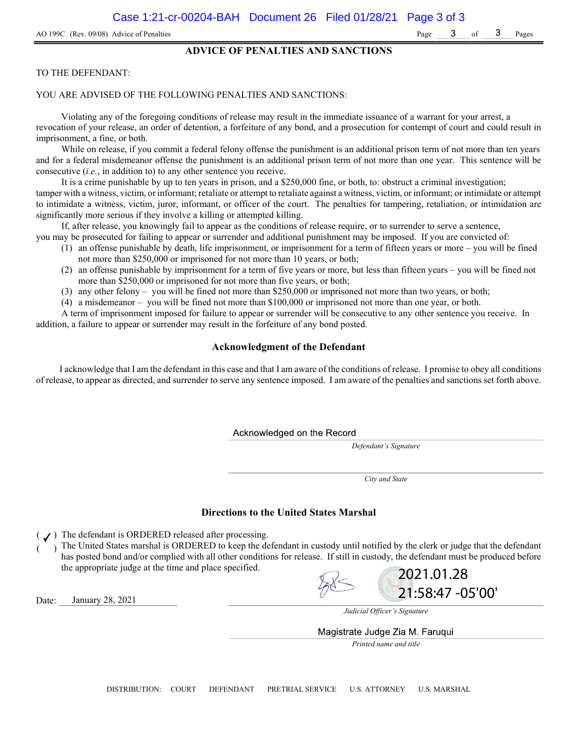### ADVICE OF PENALTIES AND SANCTIONS

#### TO THE DEFENDANT:

#### YOU ARE ADVISED OF THE FOLLOWING PENALTIES AND SANCTIONS:

Violating any of the foregoing conditions of release may result in the immediate issuance of a warrant for your arrest, a revocation of your release, an order of detention, a forfeiture of any bond, and a prosecution for contempt of court and could result in imprisonment, a fine, or both.

While on release, if you commit a federal felony offense the punishment is an additional prison term of not more than ten years and for a federal misdemeanor offense the punishment is an additional prison term of not more than one year. This sentence will be consecutive (i.e., in addition to) to any other sentence you receive.

It is a crime punishable by up to ten years in prison, and a \$250,000 fine, or both, to: obstruct a criminal investigation; tamper with a witness, victim, or informant; retaliate or attempt to retaliate against a witness, victim, or informant; or intimidate or attempt to intimidate a witness, victim, juror, informant, or officer of the court. The penalties for tampering, retaliation, or intimidation are significantly more serious if they involve a killing or attempted killing.

If, after release, you knowingly fail to appear as the conditions of release require, or to surrender to serve a sentence, you may be prosecuted for failing to appear or surrender and additional punishment may be imposed. If you are convicted of:

- (1) an offense punishable by death, life imprisonment, or imprisonment for a term of fifteen years or more you will be fined not more than \$250,000 or imprisoned for not more than 10 years, or both;
- (2) an offense punishable by imprisonment for a term of five years or more, but less than fifteen years you will be fined not more than \$250,000 or imprisoned for not more than five years, or both;
- (3) any other felony you will be fined not more than \$250,000 or imprisoned not more than two years, or both;
- (4) a misdemeanor you will be fined not more than \$100,000 or imprisoned not more than one year, or both.

A term of imprisonment imposed for failure to appear or surrender will be consecutive to any other sentence you receive. In addition, a failure to appear or surrender may result in the forfeiture of any bond posted.

### Acknowledgment of the Defendant

I acknowledge that I am the defendant in this case and that I am aware of the conditions of release. I promise to obey all conditions of release, to appear as directed, and surrender to serve any sentence imposed. I am aware of the penalties and sanctions set forth above.

Acknowledged on the Record

Defendant's Signature

City and State

#### Directions to the United States Marshal

 $($   $J)$  The defendant is ORDERED released after processing.

) The United States marshal is ORDERED to keep the defendant in custody until notified by the clerk or judge that the defendant has posted bond and/or complied with all other conditions for release. If still in custody, the defendant must be produced before the appropriate judge at the time and place specified. 2021.01.28



Date: January 28, 2021



21:58:47 -05'00'

Magistrate Judge Zia M. Faruqui

Printed name and title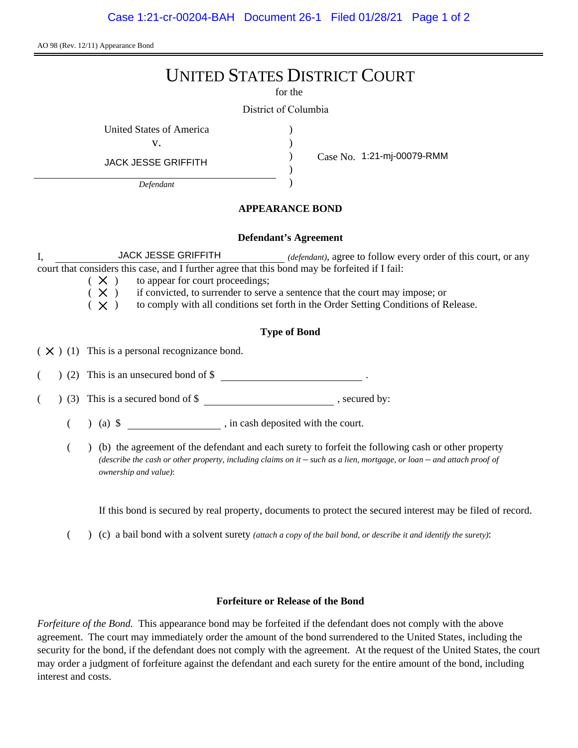AO 98 (Rev. 12/11) Appearance Bond

# UNITED STATES DISTRICT COURT

for the

) ) ) )

District of Columbia

United States of America (1996)

v.

JACK JESSE GRIFFITH

*Defendant*

Case No. 1:21-mj-00079-RMM

## **APPEARANCE BOND**

## **Defendant's Agreement**

I, **JACK JESSE GRIFFITH** *(defendant)*, agree to follow every order of this court, or any court that considers this case, and I further agree that this bond may be forfeited if I fail: CK JESSE GRIFFITH Defendant<br>
Defendant<br>
Defendant<br> **1:21-mj-00079-RMM**<br>
Defendant<br> **1:21-mj-00079-RMM**<br>
Defendant<br>
Defendant<br> **1:21-mj-00079-RMM**<br>
Defendant<br> **1:21-mj-00079-RMM**<br>
Defendant<br> **1:21-mj-00079-RMM** 

 $(X)$  to appear for court proceedings;

 $(X)$  if convicted, to surrender to serve a sentence that the court may impose; or

 $(X)$  to comply with all conditions set forth in the Order Setting Conditions of Release.

# **Type of Bond**

 $(X)$  (1) This is a personal recognizance bond.

 $($   $)$  (2) This is an unsecured bond of \$

 $($   $)$  (3) This is a secured bond of \$, secured by:

(a) \$ , in cash deposited with the court.

( ) (b) the agreement of the defendant and each surety to forfeit the following cash or other property *(describe the cash or other property, including claims on it – such as a lien, mortgage, or loan – and attach proof of ownership and value)*:

If this bond is secured by real property, documents to protect the secured interest may be filed of record.

( ) (c) a bail bond with a solvent surety *(attach a copy of the bail bond, or describe it and identify the surety)*:

## **Forfeiture or Release of the Bond**

*Forfeiture of the Bond.* This appearance bond may be forfeited if the defendant does not comply with the above agreement. The court may immediately order the amount of the bond surrendered to the United States, including the security for the bond, if the defendant does not comply with the agreement. At the request of the United States, the court may order a judgment of forfeiture against the defendant and each surety for the entire amount of the bond, including interest and costs.